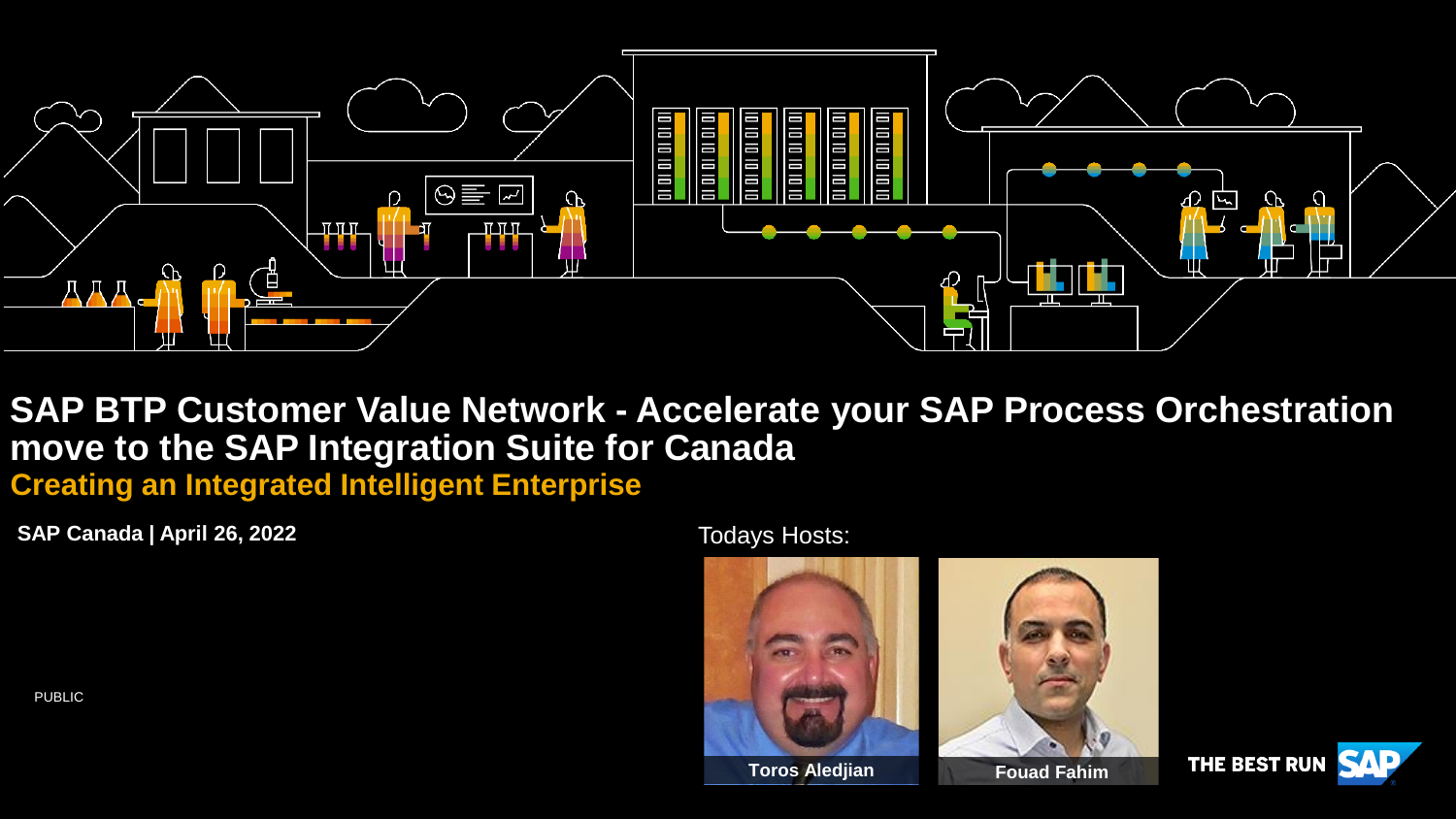

**SAP BTP Customer Value Network - Accelerate your SAP Process Orchestration move to the SAP Integration Suite for Canada**

**Creating an Integrated Intelligent Enterprise**

**SAP Canada | April 26, 2022**

Todays Hosts:







PUBLIC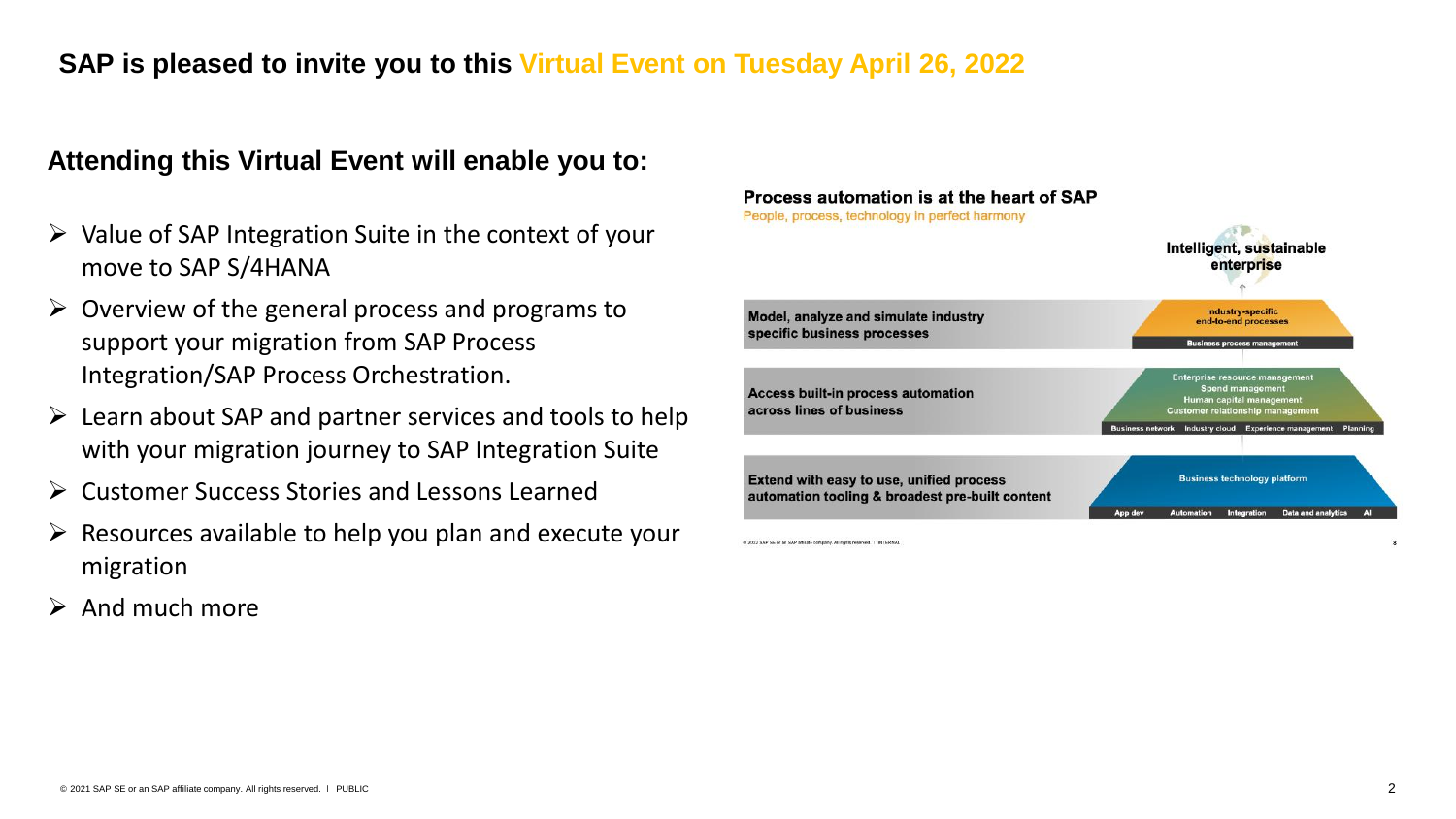#### **SAP is pleased to invite you to this Virtual Event on Tuesday April 26, 2022**

#### **Attending this Virtual Event will enable you to:**

- $\triangleright$  Value of SAP Integration Suite in the context of your move to SAP S/4HANA
- $\triangleright$  Overview of the general process and programs to support your migration from SAP Process Integration/SAP Process Orchestration.
- $\triangleright$  Learn about SAP and partner services and tools to help with your migration journey to SAP Integration Suite
- ➢ Customer Success Stories and Lessons Learned
- $\triangleright$  Resources available to help you plan and execute your migration
- $\triangleright$  And much more



@ 2022 SAP SE or an SAP affiliate company, All rights reserved. | INTERN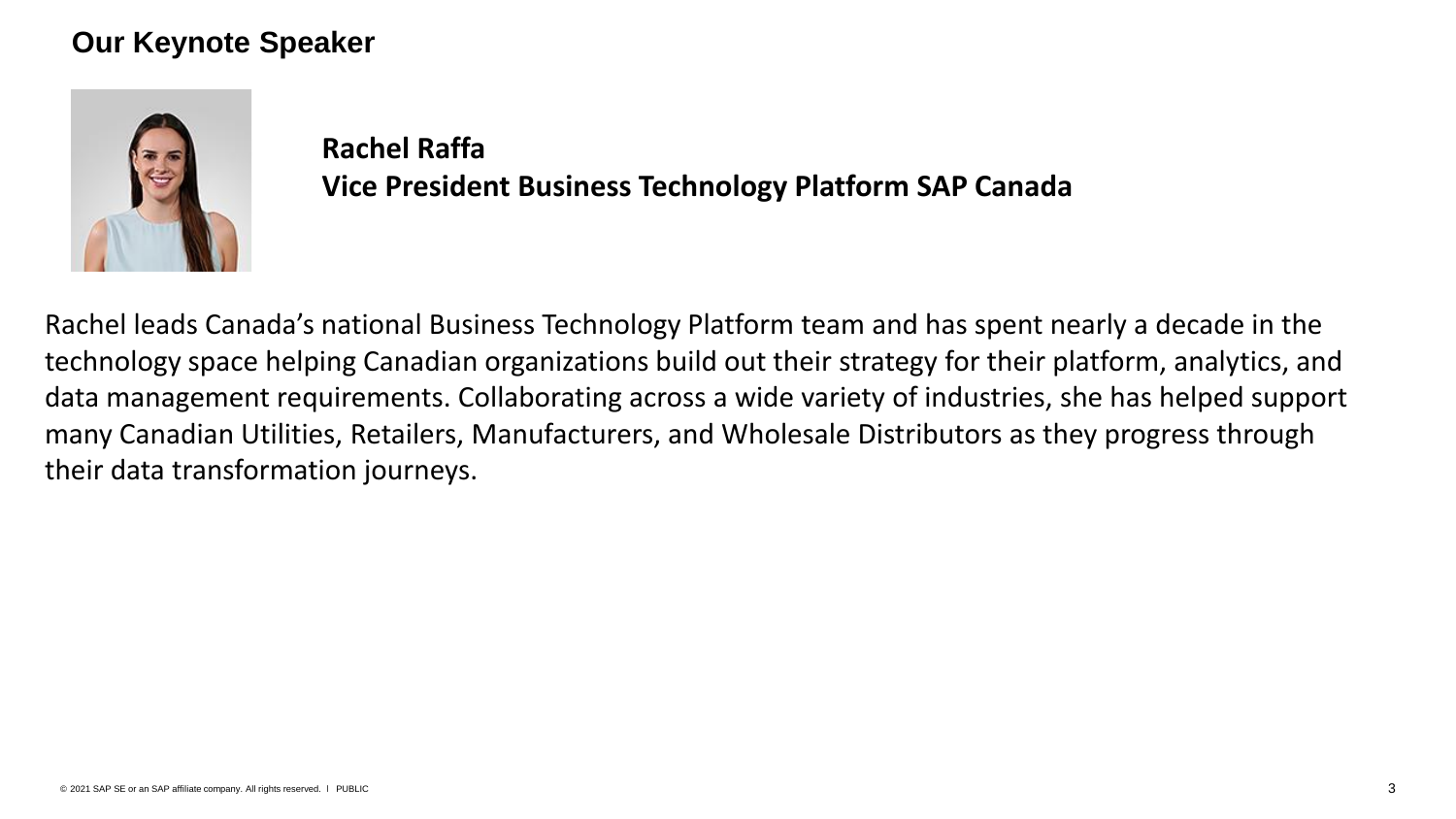#### **Our Keynote Speaker**



**Rachel Raffa Vice President Business Technology Platform SAP Canada**

Rachel leads Canada's national Business Technology Platform team and has spent nearly a decade in the technology space helping Canadian organizations build out their strategy for their platform, analytics, and data management requirements. Collaborating across a wide variety of industries, she has helped support many Canadian Utilities, Retailers, Manufacturers, and Wholesale Distributors as they progress through their data transformation journeys.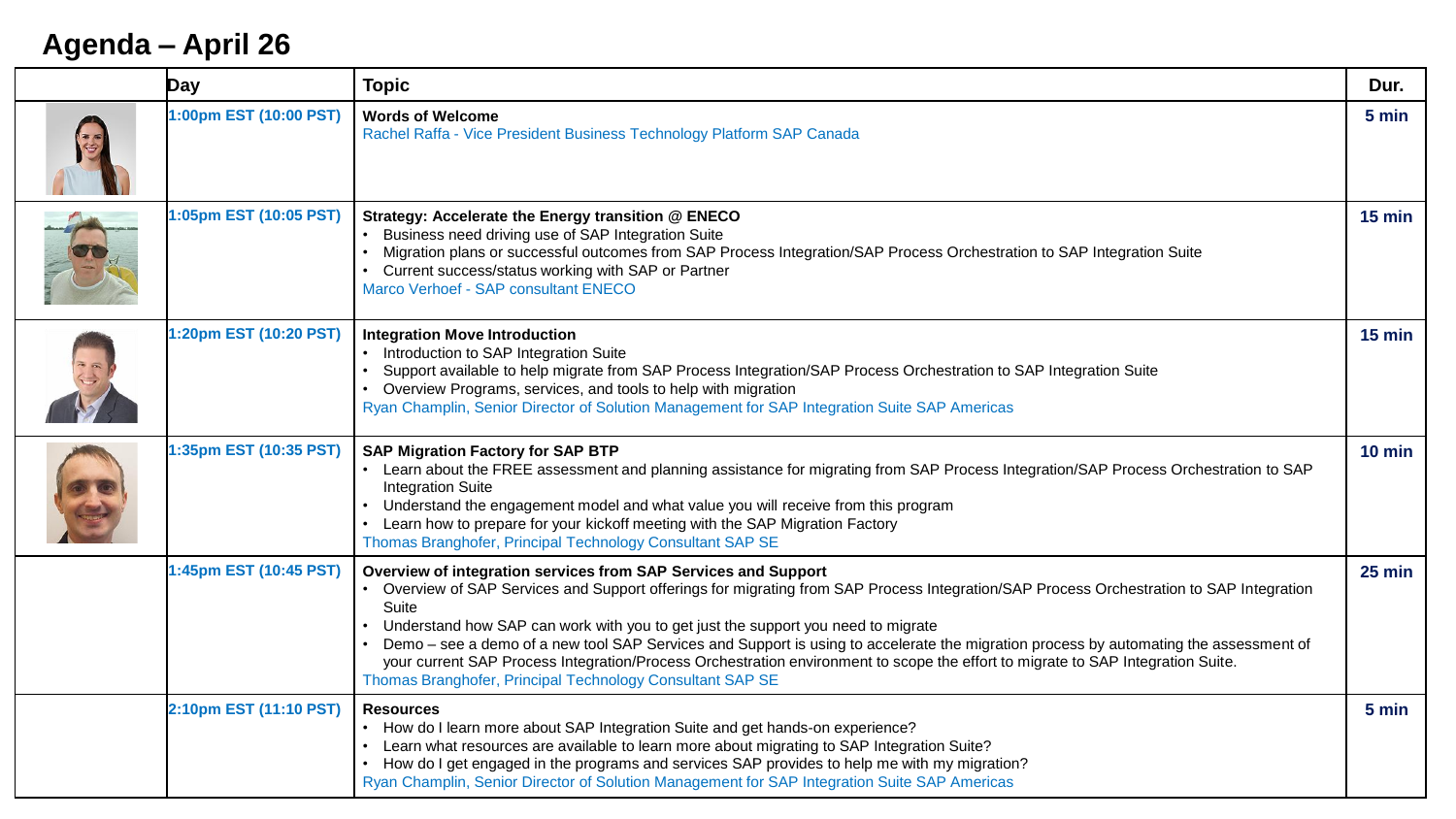## **Agenda – April 26**

| Day                    | <b>Topic</b>                                                                                                                                                                                                                                                                                                                                                                                                                                                                                                                                                                                                                                     | Dur.     |
|------------------------|--------------------------------------------------------------------------------------------------------------------------------------------------------------------------------------------------------------------------------------------------------------------------------------------------------------------------------------------------------------------------------------------------------------------------------------------------------------------------------------------------------------------------------------------------------------------------------------------------------------------------------------------------|----------|
| 1:00pm EST (10:00 PST) | <b>Words of Welcome</b><br>Rachel Raffa - Vice President Business Technology Platform SAP Canada                                                                                                                                                                                                                                                                                                                                                                                                                                                                                                                                                 | 5 min    |
| 1:05pm EST (10:05 PST) | Strategy: Accelerate the Energy transition @ ENECO<br>Business need driving use of SAP Integration Suite<br>Migration plans or successful outcomes from SAP Process Integration/SAP Process Orchestration to SAP Integration Suite<br>Current success/status working with SAP or Partner<br>Marco Verhoef - SAP consultant ENECO                                                                                                                                                                                                                                                                                                                 | $15$ min |
| 1:20pm EST (10:20 PST) | <b>Integration Move Introduction</b><br>• Introduction to SAP Integration Suite<br>Support available to help migrate from SAP Process Integration/SAP Process Orchestration to SAP Integration Suite<br>• Overview Programs, services, and tools to help with migration<br>Ryan Champlin, Senior Director of Solution Management for SAP Integration Suite SAP Americas                                                                                                                                                                                                                                                                          | $15$ min |
| 1:35pm EST (10:35 PST) | <b>SAP Migration Factory for SAP BTP</b><br>• Learn about the FREE assessment and planning assistance for migrating from SAP Process Integration/SAP Process Orchestration to SAP<br><b>Integration Suite</b><br>Understand the engagement model and what value you will receive from this program<br>Learn how to prepare for your kickoff meeting with the SAP Migration Factory<br>Thomas Branghofer, Principal Technology Consultant SAP SE                                                                                                                                                                                                  | $10$ min |
| 1:45pm EST (10:45 PST) | Overview of integration services from SAP Services and Support<br>• Overview of SAP Services and Support offerings for migrating from SAP Process Integration/SAP Process Orchestration to SAP Integration<br>Suite<br>Understand how SAP can work with you to get just the support you need to migrate<br>Demo - see a demo of a new tool SAP Services and Support is using to accelerate the migration process by automating the assessment of<br>your current SAP Process Integration/Process Orchestration environment to scope the effort to migrate to SAP Integration Suite.<br>Thomas Branghofer, Principal Technology Consultant SAP SE | $25$ min |
| 2:10pm EST (11:10 PST) | <b>Resources</b><br>• How do I learn more about SAP Integration Suite and get hands-on experience?<br>Learn what resources are available to learn more about migrating to SAP Integration Suite?<br>How do I get engaged in the programs and services SAP provides to help me with my migration?<br>Ryan Champlin, Senior Director of Solution Management for SAP Integration Suite SAP Americas                                                                                                                                                                                                                                                 | 5 min    |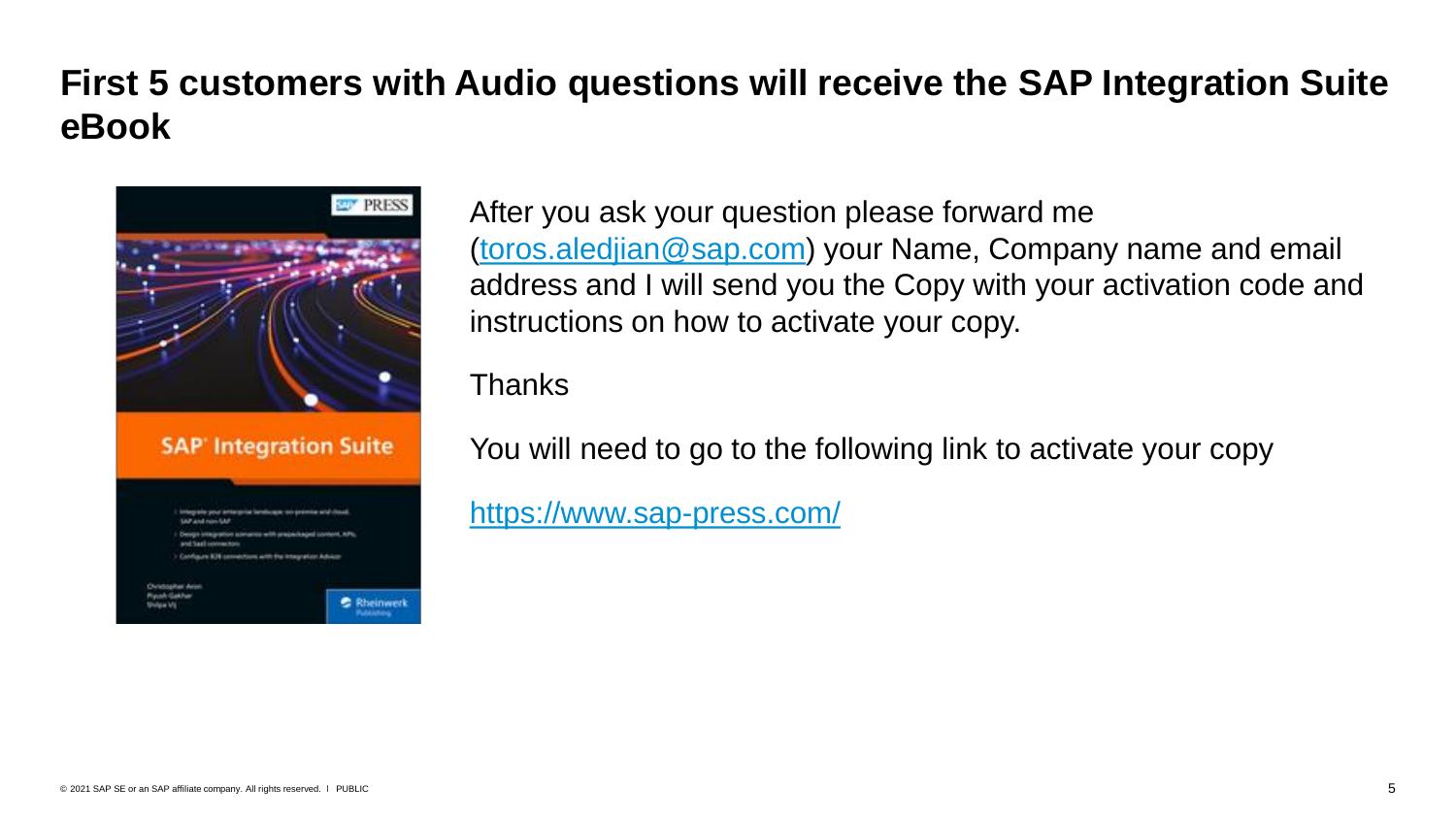## **First 5 customers with Audio questions will receive the SAP Integration Suite eBook**



After you ask your question please forward me [\(toros.aledjian@sap.com\)](mailto:toros.aledjian@sap.com) your Name, Company name and email address and I will send you the Copy with your activation code and instructions on how to activate your copy.

Thanks

You will need to go to the following link to activate your copy

<https://www.sap-press.com/>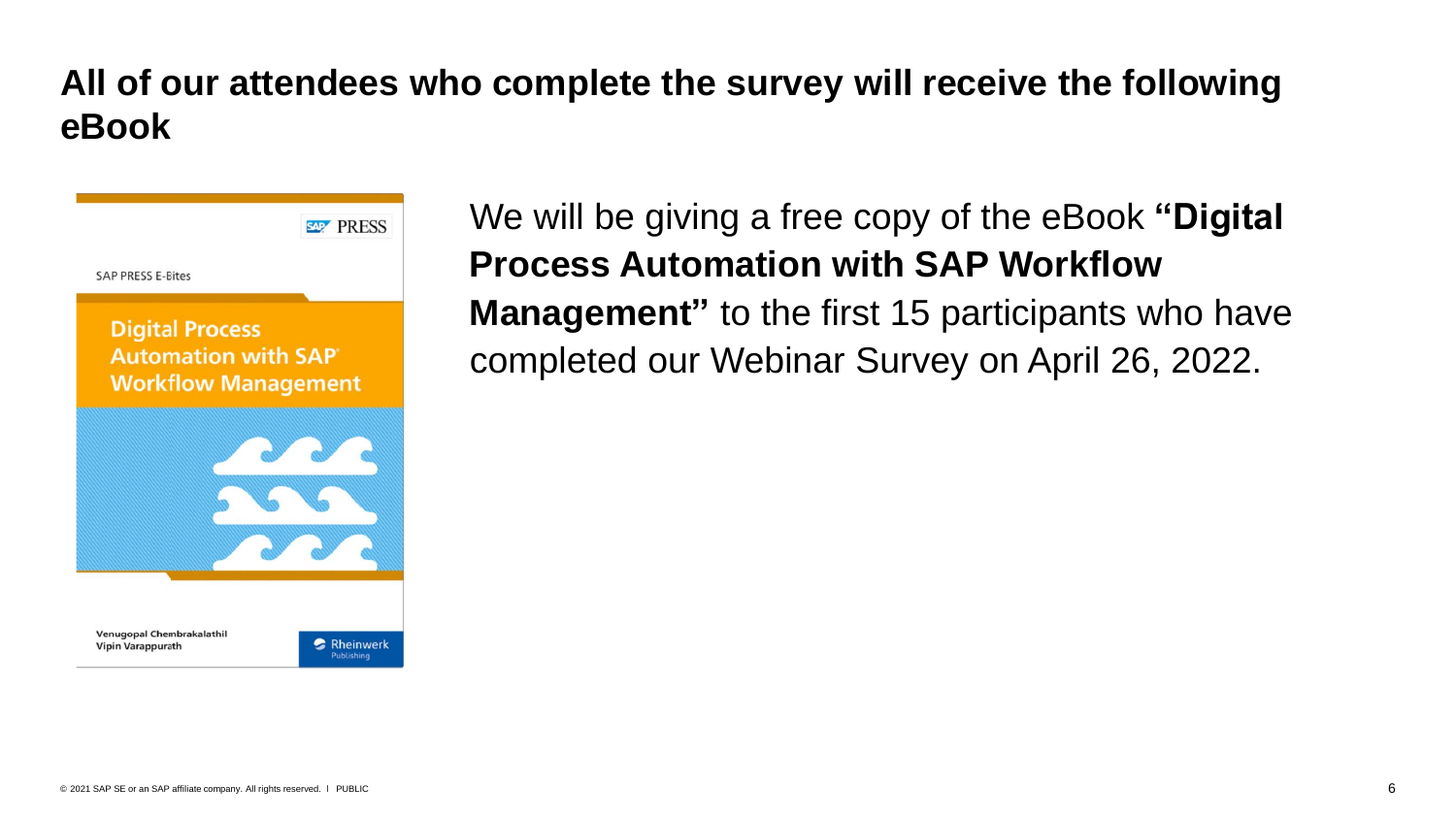## **All of our attendees who complete the survey will receive the following eBook**



We will be giving a free copy of the eBook **"Digital Process Automation with SAP Workflow Management"** to the first 15 participants who have completed our Webinar Survey on April 26, 2022.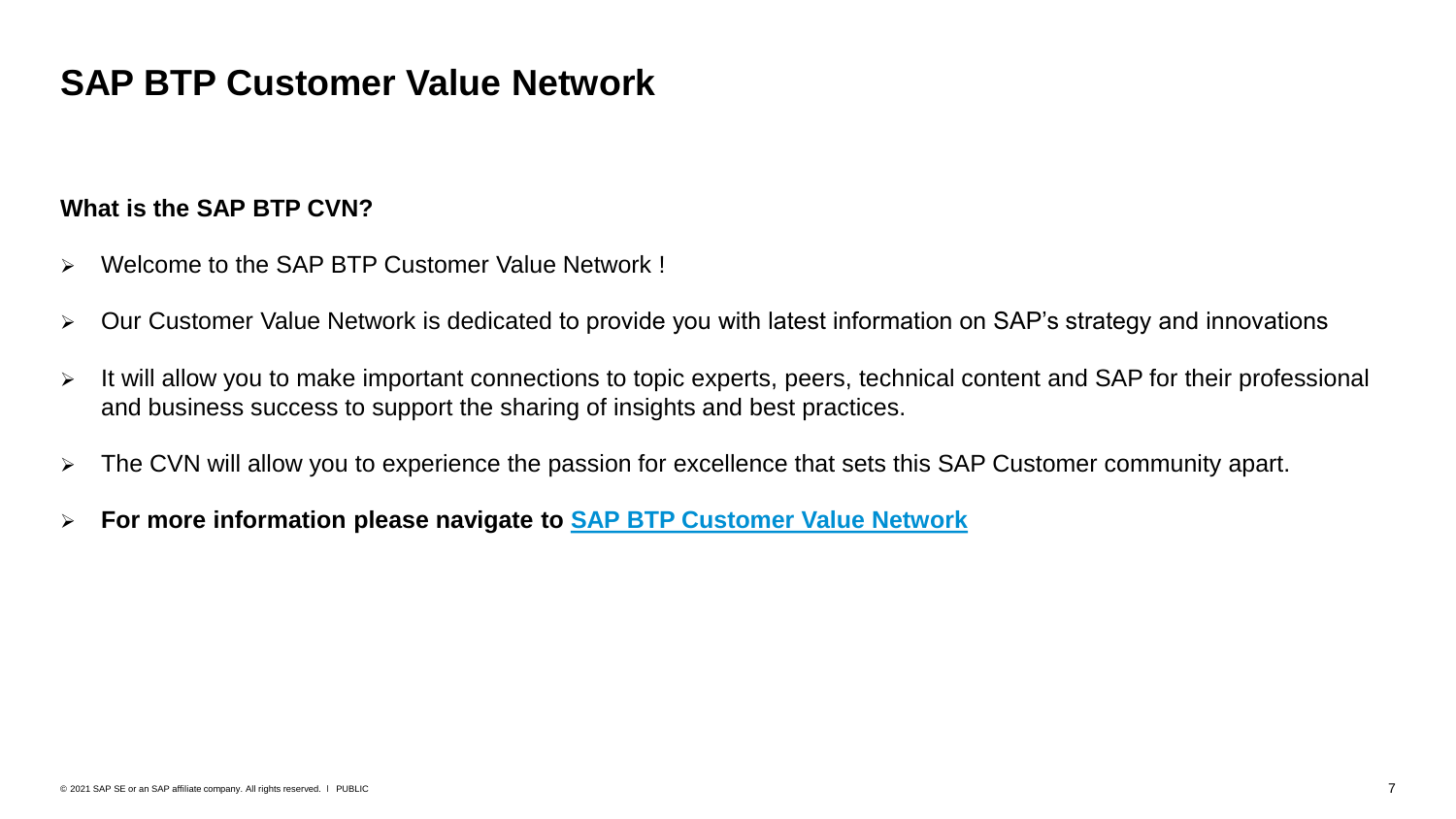## **SAP BTP Customer Value Network**

#### **What is the SAP BTP CVN?**

- ➢ Welcome to the SAP BTP Customer Value Network !
- ➢ Our Customer Value Network is dedicated to provide you with latest information on SAP's strategy and innovations
- ➢ It will allow you to make important connections to topic experts, peers, technical content and SAP for their professional and business success to support the sharing of insights and best practices.
- ➢ The CVN will allow you to experience the passion for excellence that sets this SAP Customer community apart.
- ➢ **For more information please navigate to [SAP BTP Customer Value Network](https://webinars.sap.com/2021-12-31-sap-btp-customer-value-network-global/en/home)**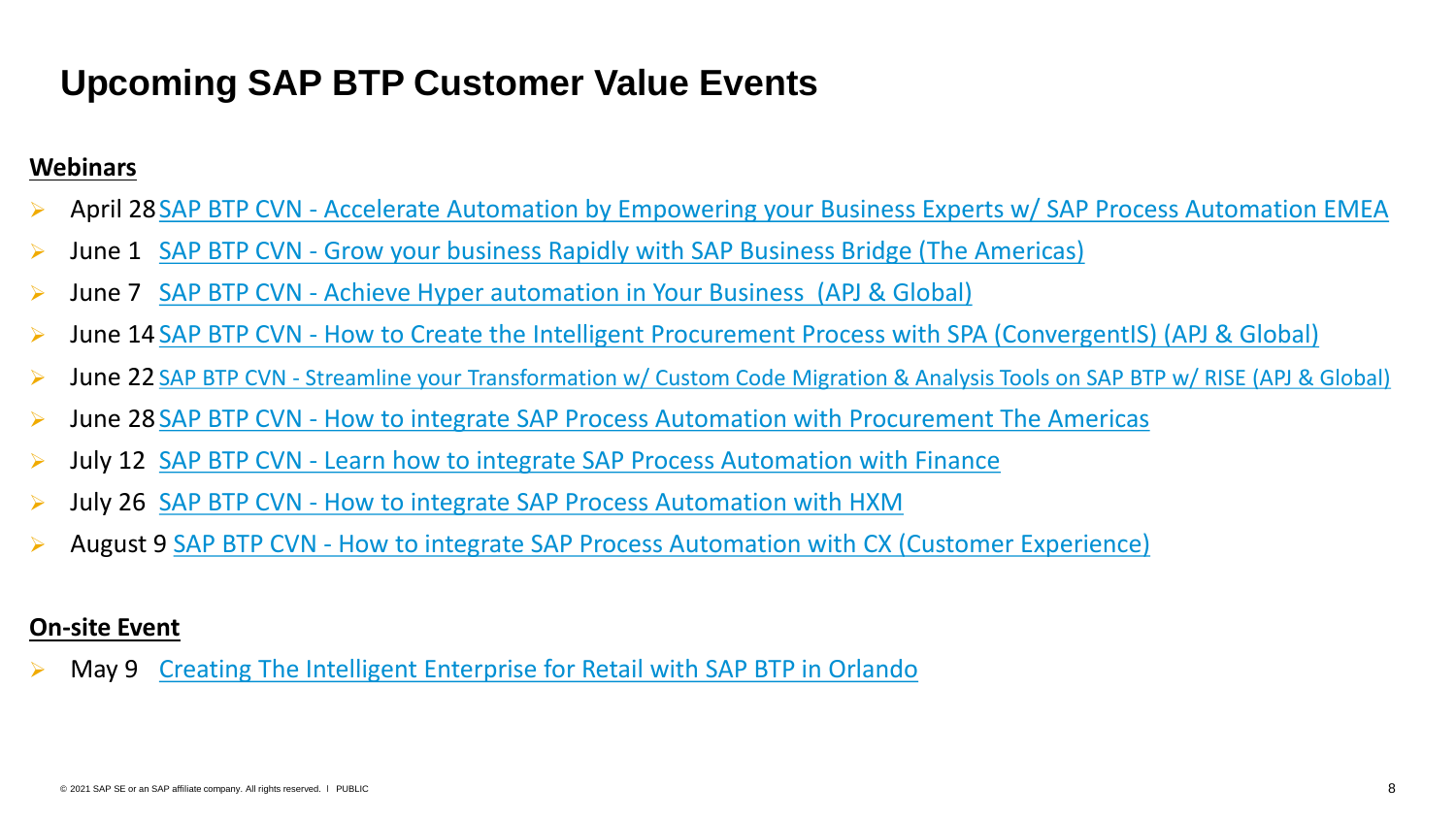## **Upcoming SAP BTP Customer Value Events**

#### **Webinars**

- April 28 SAP BTP CVN [Accelerate Automation by Empowering your Business Experts w/ SAP Process Automation EMEA](https://webinars.sap.com/eur/2022-04-28-sap-ie-btp-spa-emea-webinar/en/home)
- ➢ June 1 SAP BTP CVN [Grow your business Rapidly with SAP Business Bridge \(The Americas\)](https://webinars.sap.com/noam/2022-06-01-sap-ie-btp-bw-dwc-webinar/en/home)
- ➢ June 7 SAP BTP CVN [Achieve Hyper automation in Your Business](https://webinars.sap.com/eur/2022-06-22-sap-ie-btp-hyper-automate-webinar/en/home) (APJ & Global)
- ➢ June 14 SAP BTP CVN [How to Create the Intelligent Procurement Process with SPA \(ConvergentIS\) \(APJ & Global\)](https://webinars.sap.com/eur/2022-06-22-sap-ie-btp-spa-procure-webinar/en/home)
- ➢ June 22 SAP BTP CVN [Streamline your Transformation w/ Custom Code Migration & Analysis Tools on SAP BTP w/ RISE \(APJ & Global\)](https://webinars.sap.com/eur/2022-06-22-sap-ie-btp-ccm-webinar/en/home)
- June 28 SAP BTP CVN [How to integrate SAP Process Automation with Procurement The Americas](https://webinars.sap.com/eur/2022-06-22-sap-ie-btp-hyper-automate-webinar/en/home)
- ➢ July 12 SAP BTP CVN [Learn how to integrate SAP Process Automation with Finance](https://webinars.sap.com/eur/2022-06-22-sap-ie-btp-hyper-automate-webinar/en/home)
- ➢ July 26 SAP BTP CVN [How to integrate SAP Process Automation with HXM](https://webinars.sap.com/eur/2022-06-22-sap-ie-btp-hyper-automate-webinar/en/home)
- August 9 SAP BTP CVN [How to integrate SAP Process Automation with CX \(Customer Experience\)](https://webinars.sap.com/eur/2022-06-22-sap-ie-btp-hyper-automate-webinar/en/home)

#### **On-site Event**

May 9 [Creating The Intelligent Enterprise for Retail with SAP BTP in Orlando](https://events.sap.com/us/2022-05-09-sap-ie-btp-rise-event-orlando/en/home)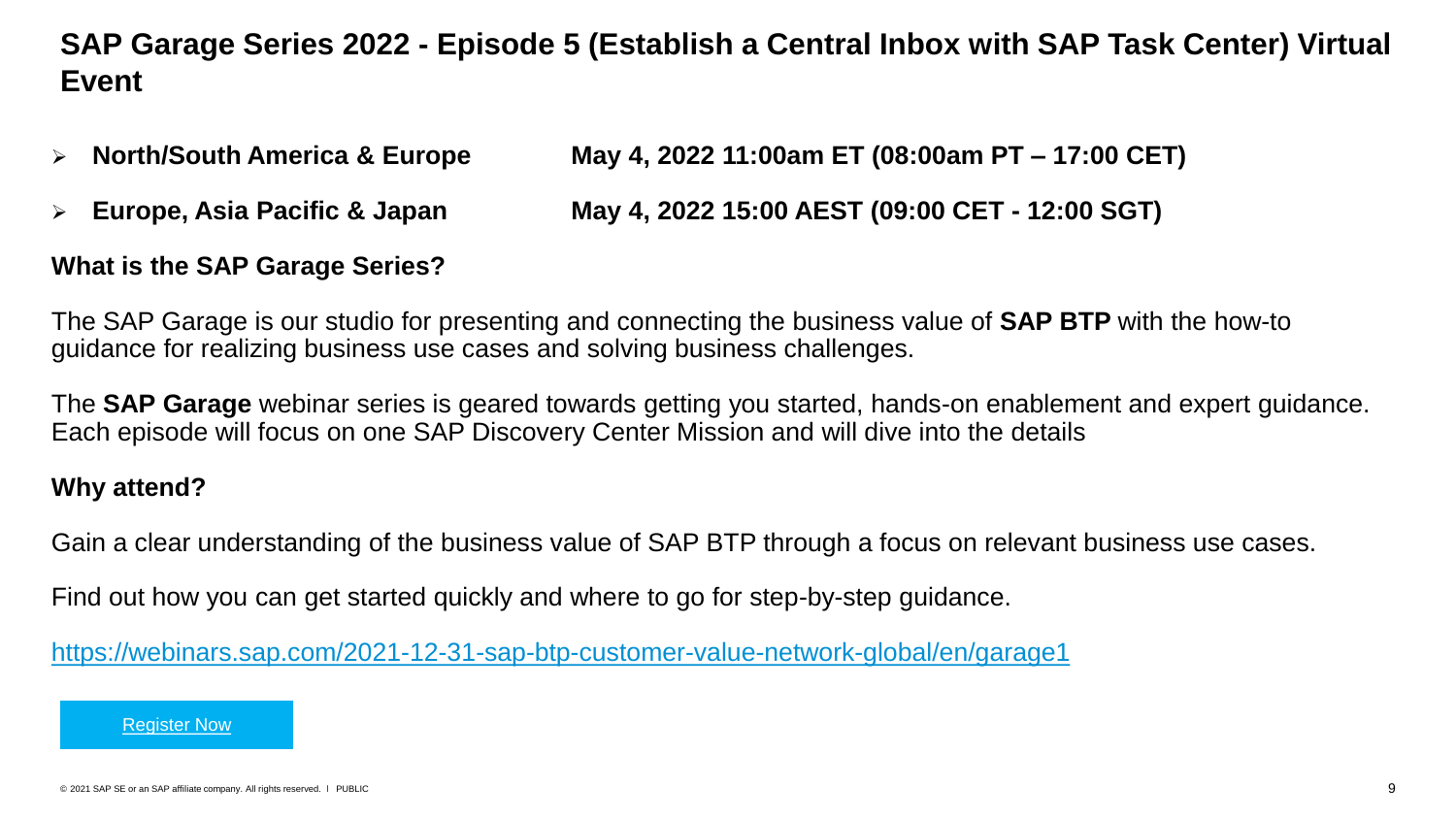### **SAP Garage Series 2022 - Episode 5 (Establish a Central Inbox with SAP Task Center) Virtual Event**

- ➢ **North/South America & Europe May 4, 2022 11:00am ET (08:00am PT – 17:00 CET)**
- ➢ **Europe, Asia Pacific & Japan May 4, 2022 15:00 AEST (09:00 CET - 12:00 SGT)**

#### **What is the SAP Garage Series?**

The SAP Garage is our studio for presenting and connecting the business value of **SAP BTP** with the how-to guidance for realizing business use cases and solving business challenges.

The **SAP Garage** webinar series is geared towards getting you started, hands-on enablement and expert guidance. Each episode will focus on one SAP Discovery Center Mission and will dive into the details

#### **Why attend?**

Gain a clear understanding of the business value of SAP BTP through a focus on relevant business use cases.

Find out how you can get started quickly and where to go for step-by-step guidance.

<https://webinars.sap.com/2021-12-31-sap-btp-customer-value-network-global/en/garage1>

[Register Now](https://webinars.sap.com/2022-01-01-sap-ie-btp-garage-webinar-series/en/registration.aspx)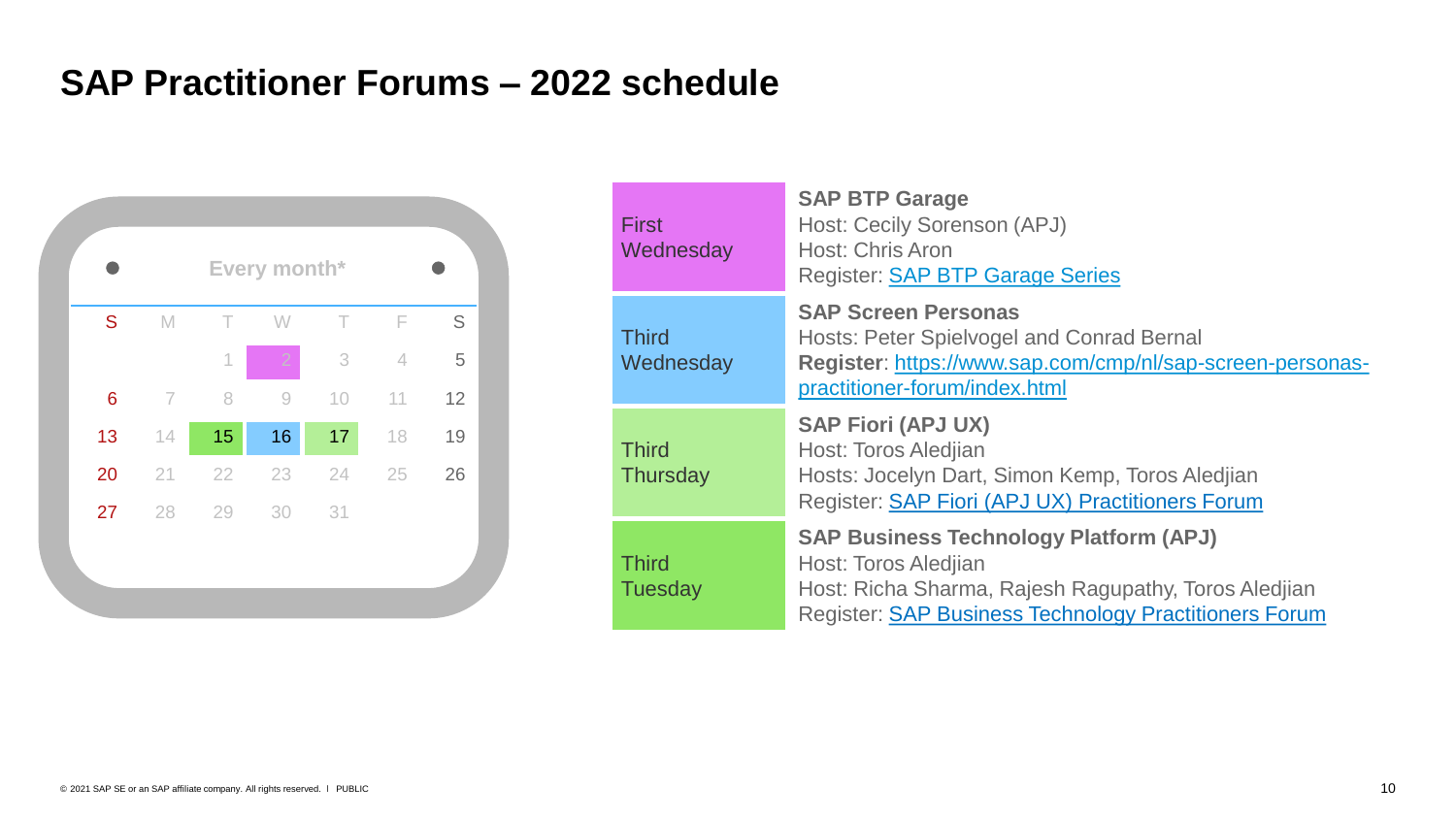## **SAP Practitioner Forums – 2022 schedule**



| <b>First</b><br>Wednesday       | <b>SAP BTP Garage</b><br>Host: Cecily Sorenson (APJ)<br><b>Host: Chris Aron</b><br><b>Register: SAP BTP Garage Series</b>                                                                     |
|---------------------------------|-----------------------------------------------------------------------------------------------------------------------------------------------------------------------------------------------|
| <b>Third</b><br>Wednesday       | <b>SAP Screen Personas</b><br><b>Hosts: Peter Spielvogel and Conrad Bernal</b><br>Register: https://www.sap.com/cmp/nl/sap-screen-personas-<br>practitioner-forum/index.html                  |
| <b>Third</b><br><b>Thursday</b> | <b>SAP Fiori (APJ UX)</b><br>Host: Toros Aledjian<br>Hosts: Jocelyn Dart, Simon Kemp, Toros Aledjian<br>Register: SAP Fiori (APJ UX) Practitioners Forum                                      |
| <b>Third</b><br><b>Tuesday</b>  | <b>SAP Business Technology Platform (APJ)</b><br>Host: Toros Aledjian<br>Host: Richa Sharma, Rajesh Ragupathy, Toros Aledjian<br><b>Register: SAP Business Technology Practitioners Forum</b> |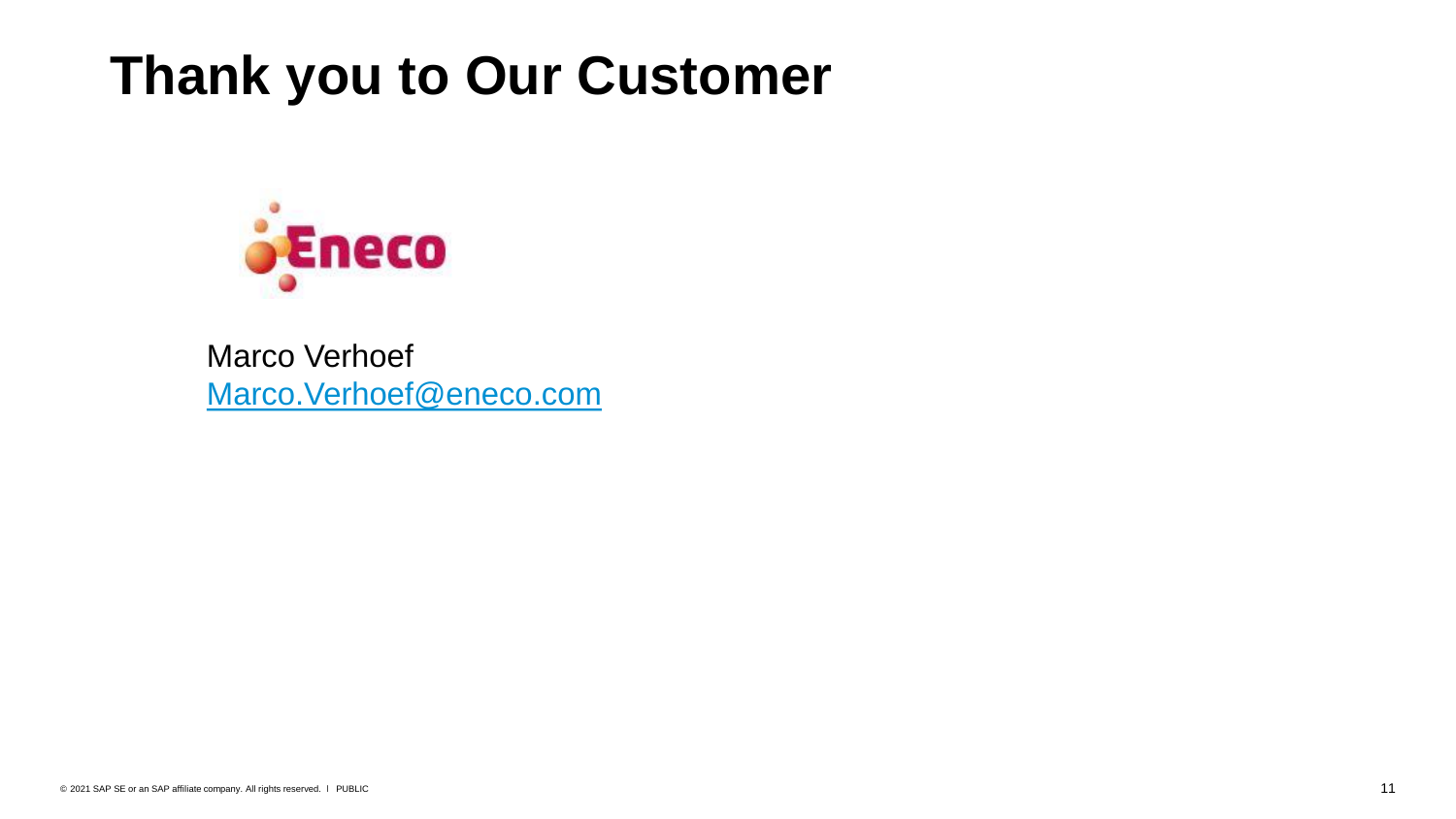## **Thank you to Our Customer**



Marco Verhoef [Marco.Verhoef@eneco.com](mailto:Marco.Verhoef@eneco.com)